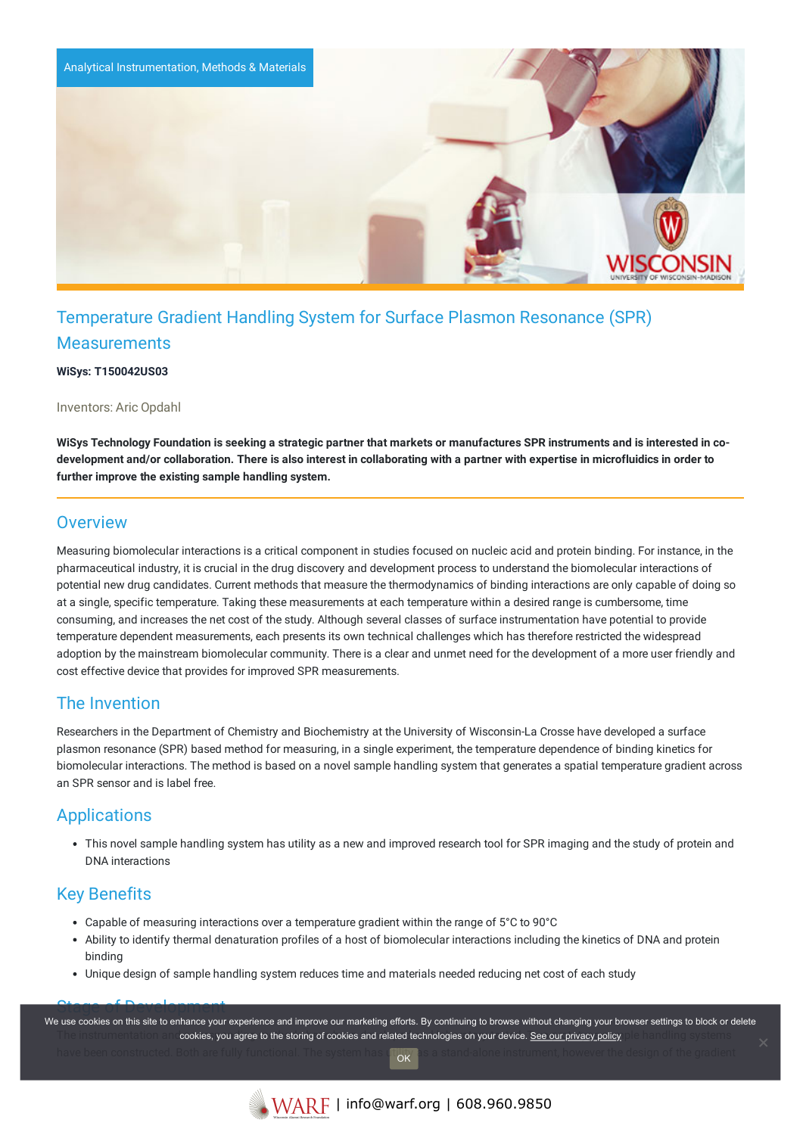

# Temperature Gradient Handling System for Surface Plasmon Resonance (SPR) **Measurements**

**WiSys: T150042US03**

Inventors: Aric Opdahl

WiSys Technology Foundation is seeking a strategic partner that markets or manufactures SPR instruments and is interested in codevelopment and/or collaboration. There is also interest in collaborating with a partner with expertise in microfluidics in order to **further improve the existing sample handling system.**

#### **Overview**

Measuring biomolecular interactions is a critical component in studies focused on nucleic acid and protein binding. For instance, in the pharmaceutical industry, it is crucial in the drug discovery and development process to understand the biomolecular interactions of potential new drug candidates. Current methods that measure the thermodynamics of binding interactions are only capable of doing so at a single, specific temperature. Taking these measurements at each temperature within a desired range is cumbersome, time consuming, and increases the net cost of the study. Although several classes of surface instrumentation have potential to provide temperature dependent measurements, each presents its own technical challenges which has therefore restricted the widespread adoption by the mainstream biomolecular community. There is a clear and unmet need for the development of a more user friendly and cost effective device that provides for improved SPR measurements.

### The Invention

Researchers in the Department of Chemistry and Biochemistry at the University of Wisconsin-La Crosse have developed a surface plasmon resonance (SPR) based method for measuring, in a single experiment, the temperature dependence of binding kinetics for biomolecular interactions. The method is based on a novel sample handling system that generates a spatial temperature gradient across an SPR sensor and is label free.

### **Applications**

This novel sample handling system has utility as a new and improved research tool for SPR imaging and the study of protein and DNA interactions

## Key Benefits

- Capable of measuring interactions over a temperature gradient within the range of 5°C to 90°C
- Ability to identify thermal denaturation profiles of a host of biomolecular interactions including the kinetics of DNA and protein binding
- Unique design of sample handling system reduces time and materials needed reducing net cost of each study

Stage of Development The institumentation and cookies, you agree to the storing of cookies and related technologies on your device. [See our privacy policy](https://www.warf.org/privacy-policy/) and said in a systems of have been constructed. Both are fully functional. The system has  $\psi|_{\mathcal{W}}$  as a stand-alone instrument, however the design of the gradient We use cookies on this site to enhance your experience and improve our marketing efforts. By continuing to browse without changing your browser settings to block or delete OK